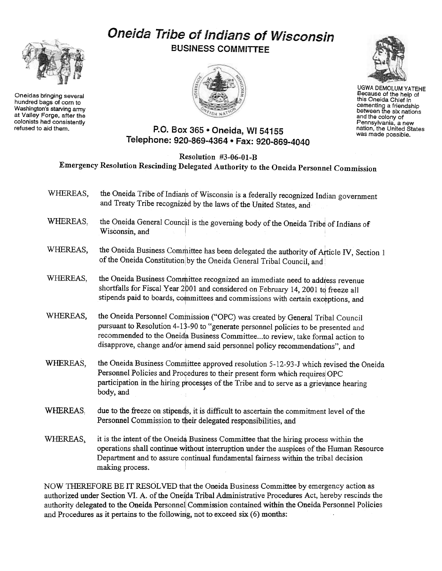## Oneida Tribe of Indians of Wisconsin BUSINESS COMMITTEE





UGWA DEMOLUMYATEHE Because of the help of this Oneida Chief in cementing a friendship<br>between the six nation and the colony of Pennsylvania, a new nation, the United States was made possible.

## P.O. Box 365 . Oneida, WI 54155 Telephone: 920-869-4364 · Fax: 920-869-4040

Resolution #3-06-01-B

Emergency Resolution Rescinding Delegated Authority to the Oueida Personnel Commission

- WHEREAS, the Oneida Tribe of Indians of Wisconsin is a federally recognized Indian government and Treaty Tribe recognized by the laws of the United States, and
- WHEREAS, the Oneida General Council is the governing body of the Oneida Tribe of Indians of Wisconsin, and
- WHEREAS, the Oneida Business Committee has been delegated the authority of Article IV, Section 1 of the Oneida Constitution by the Oneida General Tribal Council, and
- WHEREAS, the Oneida Business Committee recognized an immediate need to address revenue shortfalls for Fiscal Year 2001 and considered on February 14, 2001 to freeze all stipends paid to boards, committees and commissions with certain exceptions, and
- WHEREAS, the Oneida Personnel Commission ("OPC) was created by General Tribal Council pursuant to Resolution 4-13-90 to "generate personnel policies to be presented and recommended to the Oneida Business Committee...to review, take formal action to disapprove, change and/or amend said personnel policy recommendations", and
- WHEREAS, the Oneida Business Committee approved resolution 5-12-93-J which revised the Oneida Personnel Policies and Procedures to their present form which requires OPC participation in the hiring processes of the Tribe and to serve as a grievance hearing body, and
- WHEREAS, due to the freeze on stipends, it is difficult to ascertain the commitment level of the Personnel Commission to their delegated responsibilities, and
- WHEREAS, it is the intent of the Oneida Business Committee that the hiring process within the operations shall continue w~thout interruption under the auspices of the Human Resource Department and to assure continual fundamental fairness within the tribal decision making process.

NOW THEREFORE BE IT RESOLVED that the Oneida Business Committee by emergency action as authorized under Section VI. A. of the Oneida Tribal Administrative Procedures Act, hereby rescinds the authority delegated to the Oneida Personnel Commission contained within the Oneida Personnel Policies and Procedures as it pertains to the following, not to exceed  $s$ ix  $(6)$  months:



Oneidas bringing several hundred bags of com to Washington's starving army at Valley Forge. after the colonists had consistently<br>refused to aid them.